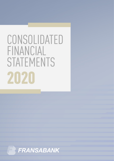# CONSOLIDATED FINANCIAL STATEMENTS 2020

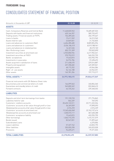#### FRANSABANK Group

## CONSOLIDATED STATEMENT OF FINANCIAL POSITION

| Amounts in thousands of LBP                                   | 31.12.20       | 31.12.19       |
|---------------------------------------------------------------|----------------|----------------|
| <b>ASSETS</b>                                                 |                |                |
| Cash, Compulsory Reserves and Central Bank                    | 11,448,820,963 | 10,689,687,533 |
| Deposits with banks and financial institutions                | 620, 164, 357  | 589,733,697    |
| Trading assets / Financial assets at FVTPL                    | 156,289,665    | 202,199,467    |
| Loans to banks                                                | 19,611,969     | 34,513,960     |
| Assets held for sale                                          | 23,849,831     | 21,732,835     |
| Loans and advances to customers (Net)                         | 6,404,285,480  | 8,809,894,596  |
| Loans and advances to customers                               | 5,534,186,515  | 8,019,788,961  |
| Loans and advances to related parties                         | 16,367,656     | 30,272,745     |
| Non-Performing Loans                                          | 853,731,309    | 759,832,890    |
| Investment securities at amortized cost                       | 4,925,850,934  | 6,617,902,241  |
| Investment securities at FVOCI                                | 370,752,019    | 560,252,735    |
| Banks' acceptances                                            | 19,643,815     | 453,955,790    |
| Investments in associates                                     | 26,976,784     | 57,698,493     |
| Assets acquired in satisfaction of loans                      | 211,458,470    | 229,014,887    |
| Property and equipment                                        | 457,358,682    | 469,309,061    |
| Intangible assets                                             | 68,172,252     | 69,044,584     |
| Right - of - use assets                                       | 54, 164, 188   | 63,962,251     |
| Other assets                                                  | 165,781,206    | 157,715,217    |
| <b>TOTAL ASSETS *</b>                                         | 24,973,180,615 | 29,026,617,347 |
| Financial instruments with Off-Balance Sheet risks            |                |                |
| Documentary and commercial letters of credit                  | 166,099,563    | 240,854,340    |
| Guarantees and standby letters of credit                      | 545,800,349    | 832,848,410    |
| Forward contracts                                             | 66,725,242     | 239,348,353    |
| <b>LIABILITIES</b>                                            |                |                |
| Deposits and short term borrowings from banks                 | 191,135,918    | 271,776,863    |
| Liabilities held for sale                                     | 844,339        | 769,393        |
| Customers' creditors accounts                                 | 20,435,122,511 | 23,711,222,334 |
| Customers' accounts at fair value through profit or loss      | 56,369,059     | 97,890,093     |
| Related parties accounts at fair value through profit or loss | 2,574,293      | 2,574,339      |
| Customers' accounts at amortized cost                         | 19,345,606,048 | 22,743,157,614 |
| Related parties accounts at amortized cost                    | 1,030,573,111  | 867,600,288    |
| Customers' acceptance liability                               | 19,643,815     | 453,955,790    |
| Other borrowings                                              | 1,040,715,370  | 1,415,721,579  |
| Bonds issued                                                  | 83,547,831     | 91,899,662     |
| Subordinated Loans                                            |                | 6,375,006      |
| Lease Liabilities                                             | 57,327,742     | 63,833,195     |
| Other liabilities                                             | 355,055,298    | 245,023,028    |
| Provisions                                                    | 94,659,671     | 79,371,033     |
| <b>TOTAL LIABILITIES</b>                                      | 22,278,052,495 | 26,339,947,883 |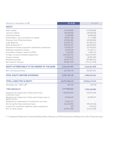| Amounts in thousands of LBP                                          | 31.12.20        | 31.12.19        |
|----------------------------------------------------------------------|-----------------|-----------------|
| <b>EQUITY</b>                                                        |                 |                 |
| Share capital                                                        | 472,500,000     | 472,500,000     |
| Common Shares                                                        | 438,500,000     | 438,500,000     |
| <b>Preferred Shares</b>                                              | 34,000,000      | 34,000,000      |
| Shareholders' cash contribution to capital                           | 140,891,368     | 17,113,885      |
| Premium from Preferred shares                                        | 478,550,000     | 478,550,000     |
| Legal Reserves                                                       | 243,087,751     | 241,836,313     |
| General Reserves **                                                  | 590,325,299     | 482,054,870     |
| Reserves for Assets acquired in settlement of bad loans              | 118,630,279     | 131,873,557     |
| Buildings revaluation surplus                                        | 49,949,650      | 51,423,111      |
| Cumulative change in assets at FVOCI                                 | 5,245,826       | 6,945,167       |
| Foreign currency translation adjustment                              | (184, 228, 494) | (162, 319, 547) |
| <b>Treasury Shares</b>                                               | (9, 333, 522)   | [8, 287, 659]   |
| Retained earnings                                                    | 629,817,573     | 893,384,166     |
| Net result for the year                                              | (93,087,749)    | (171, 411, 993) |
| <b>EQUITY ATTRIBUTABLE TO THE OWNERS OF THE BANK</b>                 | 2,442,347,981   | 2,433,661,870   |
| Non-controlling interest                                             | 252,780,139     | 253,007,594     |
| <b>TOTAL EQUITY (BEFORE DIVIDENDS)</b>                               | 2,695,128,120   | 2,686,669,464   |
|                                                                      |                 |                 |
| <b>TOTAL LIABILITIES &amp; EQUITY</b>                                | 24,973,180,615  | 29,026,617,347  |
| Exchange rate US\$ / LBP                                             | 1,507.50        | 1,507.50        |
| * After deduction of:                                                | 1,717,830,262   | 1,392,422,856   |
| Allowance for impairment of Non-performing<br>Customers loans        | 1,020,050,533   | 945,577,625     |
| Allowance for impairment of Non-performing Loans to<br>Banks and Fls | 55,900,650      | 40,785,519      |
| Allowance for impairement of Investment securities                   | 29,562,319      |                 |
| ECL for performing Customers loans                                   | 244,504,902     | 189,447,362     |
| of which for customers liabilities under acceptances                 | 949             | 1,910,418       |
| ECL for other assets                                                 | 367,811,858     | 216,612,350     |
|                                                                      |                 |                 |

\*\* Composed of Reserves for General Banking Risks, Reserves on Performing loans and Reserves for Non Productive loans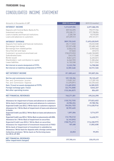### FRANSABANK Group

## CONSOLIDATED INCOME STATEMENT

| Amounts in thousands of LBP                                                             | 2020 (12 months) | 2019 (12 months) |
|-----------------------------------------------------------------------------------------|------------------|------------------|
| <b>INTEREST INCOME</b>                                                                  | 1,613,269,506    | 2,077,388,378    |
| Deposits with Central Bank, Banks & Fls                                                 | 859,943,095      | 795,977,936      |
| Investment securities                                                                   | 293,338,171      | 577,758,896      |
| Loans to banks and financial institutions                                               | 2,328,728        | 10,510,035       |
| Loans and advances to customers                                                         | 457,659,512      | 693, 141, 511    |
| <b>INTEREST EXPENSE</b>                                                                 | (809, 720, 245)  | (1,693,420,549)  |
| Deposits from banks and financial institutions                                          | (35, 111, 032)   | (18, 232, 538)   |
| Borrowings from banks                                                                   | (29, 337, 438)   | [29,688,160]     |
| Borrowings from related parties                                                         | (2,056,615)      | (2,909,546)      |
| Securities lent and repos                                                               | (57, 865)        | (29, 017)        |
| Customers' accounts at amortized cost                                                   | (728, 579, 092)  | (1,628,130,009)  |
| Subordinated loans                                                                      | (265, 475)       | (1, 711, 068)    |
| Bonds issued                                                                            | (5,841,631)      | (6, 225, 021)    |
| Shareholders' cash contribution to capital                                              | [4,340,759]      | (1, 283, 656)    |
| Lease liabilities                                                                       | [4, 130, 338]    | (5, 211, 534)    |
| Net interest on assets designated at FVTPL                                              | 12,323,750       | 14,758,500       |
| Net interest on liabilities designated at FVTPL                                         | (3,989,348)      | (5,919,125)      |
| <b>NET INTEREST INCOME</b>                                                              | 811,883,663      | 392,807,204      |
| Net fee and commission income                                                           | 107,155,356      | 95,123,437       |
| Fee and Commission Income                                                               | 119,851,247      | 117,359,103      |
| Fee and Commission Expense                                                              | (12,695,891)     | [22, 235, 666]   |
| Gain / (Loss) on assets designated at FVTPL                                             | (12,689,093)     | (6, 585, 529)    |
| Foreign exchange gain / (loss)                                                          | (24, 774, 008)   | 8,044,327        |
| <b>Net other operating income</b>                                                       | (133, 304, 837)  | 854,659          |
| <b>NET FINANCIAL REVENUES</b>                                                           | 748,271,081      | 490,244,098      |
| Allowance for impairment of loans and advances to customers                             | (135, 732, 735)  | (77, 823, 402)   |
| Write-back of impairment on loans and advances to customers                             | 45,984,024       | 29,780,784       |
| <b>Expected Credit Loss (ECL) / Write-back on customers exposure</b>                    | (96, 026, 152)   | (114, 628, 916)  |
| Allowance for / Write-Back of impairment of loans and advances<br>to banks              | (8,709,465)      |                  |
| <b>Expected Credit Loss (ECL) / Write-Back on loans and advances to</b><br><b>banks</b> | 1,891,006        | 5,714,577        |
| <b>Expected Credit Loss (ECL) / Write-Back on placements with BDL</b>                   | (13, 178, 312)   | 14,630,791       |
| Allowance for / Write-Back of impairment on securities                                  | (6, 149, 093)    |                  |
| <b>Expected Credit Loss (ECL) / Write-Back on securities</b>                            | (158, 774, 271)  | (116, 338, 977)  |
| Allowance for impairment of investment measured at FVOCI                                | 187,480          | (1,002,638)      |
| Write-back of Impairment of investment in subsidiaries                                  |                  |                  |
| Allowance / Write-back for deposits with a foreign central bank                         |                  |                  |
| <b>Collective provision / Write-back on Performing loans</b><br>(on-BS & off-BS)        | 22,053           | 99,093           |
| <b>NET FINANCIAL REVENUES</b><br>(after impairment charges)                             | 377,785,616      | 230,675,410      |